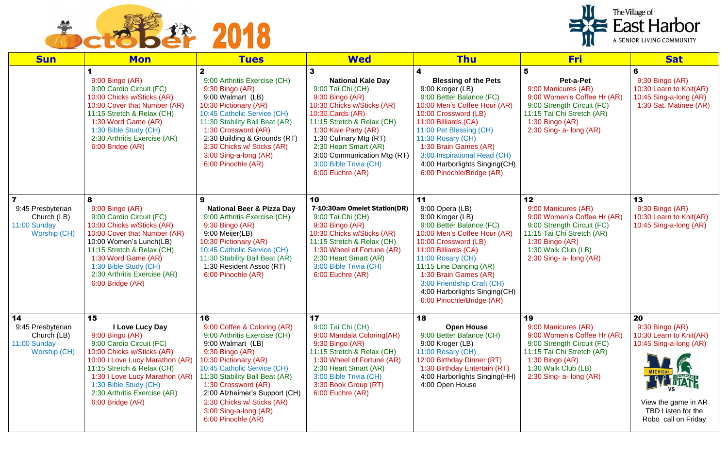

| <b>Sun</b>                                                             | <b>Mon</b>                                                                                                                                                                                                                                                                         | <b>Tues</b>                                                                                                                                                                                                                                                                                                                              | <b>Wed</b>                                                                                                                                                                                                                                                                                               | <b>Thu</b>                                                                                                                                                                                                                                                                                                                              | <b>Fri</b>                                                                                                                                                                                      | <b>Sat</b>                                                                                                                                     |
|------------------------------------------------------------------------|------------------------------------------------------------------------------------------------------------------------------------------------------------------------------------------------------------------------------------------------------------------------------------|------------------------------------------------------------------------------------------------------------------------------------------------------------------------------------------------------------------------------------------------------------------------------------------------------------------------------------------|----------------------------------------------------------------------------------------------------------------------------------------------------------------------------------------------------------------------------------------------------------------------------------------------------------|-----------------------------------------------------------------------------------------------------------------------------------------------------------------------------------------------------------------------------------------------------------------------------------------------------------------------------------------|-------------------------------------------------------------------------------------------------------------------------------------------------------------------------------------------------|------------------------------------------------------------------------------------------------------------------------------------------------|
|                                                                        | 9:00 Bingo (AR)<br>9:00 Cardio Circuit (FC)<br>10:00 Chicks w/Sticks (AR)<br>10:00 Cover that Number (AR)<br>11:15 Stretch & Relax (CH)<br>1:30 Word Game (AR)<br>1:30 Bible Study (CH)<br>2:30 Arthritis Exercise (AR)<br>6:00 Bridge (AR)                                        | 2<br>9:00 Arthritis Exercise (CH)<br>9:30 Bingo (AR)<br>9:00 Walmart (LB)<br>10:30 Pictionary (AR)<br>10:45 Catholic Service (CH)<br>11:30 Stability Ball Beat (AR)<br>1:30 Crossword (AR)<br>2:30 Building & Grounds (RT)<br>2:30 Chicks w/ Sticks (AR)<br>3:00 Sing-a-long (AR)<br>6:00 Pinochle (AR)                                  | <b>National Kale Day</b><br>9:00 Tai Chi (CH)<br>9:30 Bingo (AR)<br>10:30 Chicks w/Sticks (AR)<br>10:30 Cards (AR)<br>11:15 Stretch & Relax (CH)<br>1:30 Kale Party (AR)<br>1:30 Culinary Mtg (RT)<br>2:30 Heart Smart (AR)<br>3:00 Communication Mtg (RT)<br>3:00 Bible Trivia (CH)<br>6:00 Euchre (AR) | 4<br><b>Blessing of the Pets</b><br>9:00 Kroger (LB)<br>9:00 Better Balance (FC)<br>10:00 Men's Coffee Hour (AR)<br>10:00 Crossword (LB)<br>11:00 Billiards (CA)<br>11:00 Pet Blessing (CH)<br>11:30 Rosary (CH)<br>1:30 Brain Games (AR)<br>3:00 Inspirational Read (CH)<br>4:00 Harborlights Singing(CH)<br>6:00 Pinochle/Bridge (AR) | 5<br>Pet-a-Pet<br>9:00 Manicures (AR)<br>9:00 Women's Coffee Hr (AR)<br>9:00 Strength Circuit (FC)<br>11:15 Tai Chi Stretch (AR)<br>1:30 Bingo (AR)<br>$2:30$ Sing- a- long $(AR)$              | 6<br>9:30 Bingo (AR)<br>10:30 Learn to Knit(AR)<br>10:45 Sing-a-long (AR)<br>1:30 Sat. Matinee (AR)                                            |
| 9:45 Presbyterian<br>Church (LB)<br>11:00 Sunday<br>Worship (CH)       | 8<br>9:00 Bingo (AR)<br>9:00 Cardio Circuit (FC)<br>10:00 Chicks w/Sticks (AR)<br>10:00 Cover that Number (AR)<br>10:00 Women's Lunch(LB)<br>11:15 Stretch & Relax (CH)<br>1:30 Word Game (AR)<br>1:30 Bible Study (CH)<br>2:30 Arthritis Exercise (AR)<br>6:00 Bridge (AR)        | 9<br><b>National Beer &amp; Pizza Day</b><br>9:00 Arthritis Exercise (CH)<br>9:30 Bingo (AR)<br>9:00 Meijer(LB)<br>10:30 Pictionary (AR)<br>10:45 Catholic Service (CH)<br>11:30 Stability Ball Beat (AR)<br>1:30 Resident Assoc (RT)<br>6:00 Pinochle (AR)                                                                              | 10<br>7-10:30am Omelet Station(DR)<br>9:00 Tai Chi (CH)<br>9:30 Bingo (AR)<br>10:30 Chicks w/Sticks (AR)<br>11:15 Stretch & Relax (CH)<br>1:30 Wheel of Fortune (AR)<br>2:30 Heart Smart (AR)<br>3:00 Bible Trivia (CH)<br>6:00 Euchre (AR)                                                              | 11<br>9:00 Opera (LB)<br>9:00 Kroger (LB)<br>9:00 Better Balance (FC)<br>10:00 Men's Coffee Hour (AR)<br>10:00 Crossword (LB)<br>11:00 Billiards (CA)<br>11:00 Rosary (CH)<br>11:15 Line Dancing (AR)<br>1:30 Brain Games (AR)<br>3:00 Friendship Craft (CH)<br>4:00 Harborlights Singing(CH)<br>6:00 Pinochle/Bridge (AR)              | 12<br>9:00 Manicures (AR)<br>9:00 Women's Coffee Hr (AR)<br>9:00 Strength Circuit (FC)<br>11:15 Tai Chi Stretch (AR)<br>1:30 Bingo $(AR)$<br>1:30 Walk Club (LB)<br>2:30 Sing- a- long (AR)     | 13<br>9:30 Bingo (AR)<br>10:30 Learn to Knit(AR)<br>10:45 Sing-a-long (AR)                                                                     |
| 14<br>9:45 Presbyterian<br>Church (LB)<br>11:00 Sunday<br>Worship (CH) | 15<br>I Love Lucy Day<br>9:00 Bingo (AR)<br>9:00 Cardio Circuit (FC)<br>10:00 Chicks w/Sticks (AR)<br>10:00 I Love Lucy Marathon (AR)<br>11:15 Stretch & Relax (CH)<br>1:30 I Love Lucy Marathon (AR)<br>1:30 Bible Study (CH)<br>2:30 Arthritis Exercise (AR)<br>6:00 Bridge (AR) | 16<br>9:00 Coffee & Coloring (AR)<br>9:00 Arthritis Exercise (CH)<br>9:00 Walmart (LB)<br>9:30 Bingo (AR)<br>10:30 Pictionary (AR)<br>10:45 Catholic Service (CH)<br>11:30 Stability Ball Beat (AR)<br>1:30 Crossword (AR)<br>2:00 Alzheimer's Support (CH)<br>2:30 Chicks w/ Sticks (AR)<br>3:00 Sing-a-long (AR)<br>6:00 Pinochle (AR) | 17<br>9:00 Tai Chi (CH)<br>9:00 Mandala Coloring(AR)<br>9:30 Bingo (AR)<br>11:15 Stretch & Relax (CH)<br>1:30 Wheel of Fortune (AR)<br>2:30 Heart Smart (AR)<br>3:00 Bible Trivia (CH)<br>3:30 Book Group (RT)<br>6:00 Euchre (AR)                                                                       | 18<br><b>Open House</b><br>9:00 Better Balance (CH)<br>9:00 Kroger (LB)<br>11:00 Rosary (CH)<br>12:00 Birthday Dinner (RT)<br>1:30 Birthday Entertain (RT)<br>4:00 Harborlights Singing(HH)<br>4:00 Open House                                                                                                                          | 19<br>9:00 Manicures (AR)<br>9:00 Women's Coffee Hr (AR)<br>9:00 Strength Circuit (FC)<br>11:15 Tai Chi Stretch (AR)<br>1:30 Bingo $(AR)$<br>1:30 Walk Club (LB)<br>$2:30$ Sing- a- long $(AR)$ | 20<br>9:30 Bingo (AR)<br>10:30 Learn to Knit(AR)<br>10:45 Sing-a-long (AR)<br>View the game in AR<br>TBD Listen for the<br>Robo call on Friday |